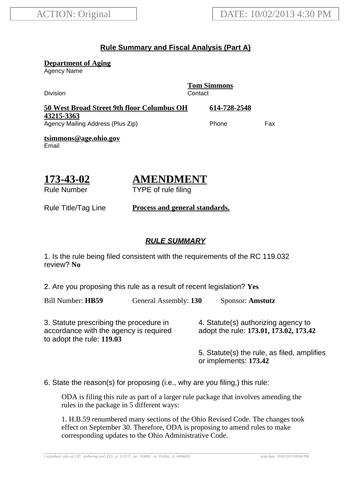### **Rule Summary and Fiscal Analysis (Part A)**

**Department of Aging**

Agency Name

Division Contact

**Tom Simmons**

| 50 West Broad Street 9th floor Columbus OH | 614-728-2548 |     |
|--------------------------------------------|--------------|-----|
| 43215-3363                                 |              |     |
| Agency Mailing Address (Plus Zip)          | Phone        | Fax |

**tsimmons@age.ohio.gov** Email

# **173-43-02**

## **AMENDMENT**

TYPE of rule filing

Rule Number

Rule Title/Tag Line **Process and general standards.**

#### **RULE SUMMARY**

1. Is the rule being filed consistent with the requirements of the RC 119.032 review? **No**

2. Are you proposing this rule as a result of recent legislation? **Yes**

Bill Number: **HB59** General Assembly: **130** Sponsor: **Amstutz**

3. Statute prescribing the procedure in accordance with the agency is required to adopt the rule: **119.03**

4. Statute(s) authorizing agency to adopt the rule: **173.01, 173.02, 173.42**

5. Statute(s) the rule, as filed, amplifies or implements: **173.42**

6. State the reason(s) for proposing (i.e., why are you filing,) this rule:

ODA is filing this rule as part of a larger rule package that involves amending the rules in the package in 5 different ways:

1. H.B.59 renumbered many sections of the Ohio Revised Code. The changes took effect on September 30. Therefore, ODA is proposing to amend rules to make corresponding updates to the Ohio Administrative Code.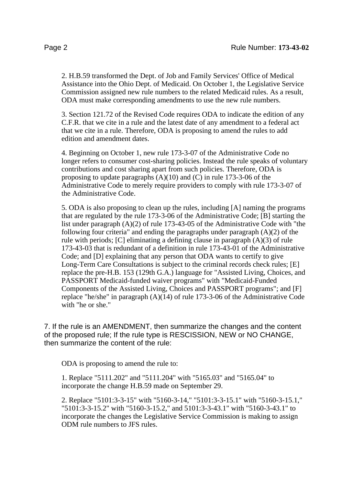2. H.B.59 transformed the Dept. of Job and Family Services' Office of Medical Assistance into the Ohio Dept. of Medicaid. On October 1, the Legislative Service Commission assigned new rule numbers to the related Medicaid rules. As a result, ODA must make corresponding amendments to use the new rule numbers.

3. Section 121.72 of the Revised Code requires ODA to indicate the edition of any C.F.R. that we cite in a rule and the latest date of any amendment to a federal act that we cite in a rule. Therefore, ODA is proposing to amend the rules to add edition and amendment dates.

4. Beginning on October 1, new rule 173-3-07 of the Administrative Code no longer refers to consumer cost-sharing policies. Instead the rule speaks of voluntary contributions and cost sharing apart from such policies. Therefore, ODA is proposing to update paragraphs  $(A)(10)$  and  $(C)$  in rule 173-3-06 of the Administrative Code to merely require providers to comply with rule 173-3-07 of the Administrative Code.

5. ODA is also proposing to clean up the rules, including [A] naming the programs that are regulated by the rule 173-3-06 of the Administrative Code; [B] starting the list under paragraph (A)(2) of rule 173-43-05 of the Administrative Code with "the following four criteria" and ending the paragraphs under paragraph  $(A)(2)$  of the rule with periods; [C] eliminating a defining clause in paragraph (A)(3) of rule 173-43-03 that is redundant of a definition in rule 173-43-01 of the Administrative Code; and [D] explaining that any person that ODA wants to certify to give Long-Term Care Consultations is subject to the criminal records check rules; [E] replace the pre-H.B. 153 (129th G.A.) language for "Assisted Living, Choices, and PASSPORT Medicaid-funded waiver programs" with "Medicaid-Funded Components of the Assisted Living, Choices and PASSPORT programs"; and [F] replace "he/she" in paragraph (A)(14) of rule 173-3-06 of the Administrative Code with "he or she."

7. If the rule is an AMENDMENT, then summarize the changes and the content of the proposed rule; If the rule type is RESCISSION, NEW or NO CHANGE, then summarize the content of the rule:

ODA is proposing to amend the rule to:

1. Replace "5111.202" and "5111.204" with "5165.03" and "5165.04" to incorporate the change H.B.59 made on September 29.

2. Replace "5101:3-3-15" with "5160-3-14," "5101:3-3-15.1" with "5160-3-15.1," "5101:3-3-15.2" with "5160-3-15.2," and 5101:3-3-43.1" with "5160-3-43.1" to incorporate the changes the Legislative Service Commission is making to assign ODM rule numbers to JFS rules.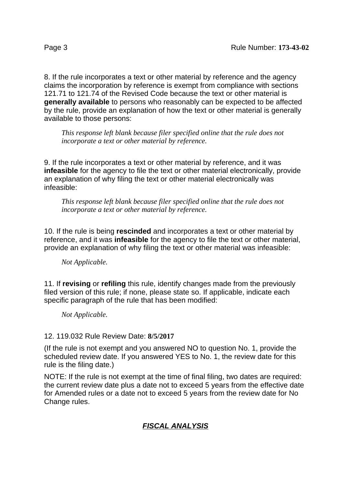8. If the rule incorporates a text or other material by reference and the agency claims the incorporation by reference is exempt from compliance with sections 121.71 to 121.74 of the Revised Code because the text or other material is **generally available** to persons who reasonably can be expected to be affected by the rule, provide an explanation of how the text or other material is generally available to those persons:

*This response left blank because filer specified online that the rule does not incorporate a text or other material by reference.*

9. If the rule incorporates a text or other material by reference, and it was **infeasible** for the agency to file the text or other material electronically, provide an explanation of why filing the text or other material electronically was infeasible:

*This response left blank because filer specified online that the rule does not incorporate a text or other material by reference.*

10. If the rule is being **rescinded** and incorporates a text or other material by reference, and it was **infeasible** for the agency to file the text or other material, provide an explanation of why filing the text or other material was infeasible:

*Not Applicable.*

11. If **revising** or **refiling** this rule, identify changes made from the previously filed version of this rule; if none, please state so. If applicable, indicate each specific paragraph of the rule that has been modified:

*Not Applicable.*

#### 12. 119.032 Rule Review Date: **8/5/2017**

(If the rule is not exempt and you answered NO to question No. 1, provide the scheduled review date. If you answered YES to No. 1, the review date for this rule is the filing date.)

NOTE: If the rule is not exempt at the time of final filing, two dates are required: the current review date plus a date not to exceed 5 years from the effective date for Amended rules or a date not to exceed 5 years from the review date for No Change rules.

### **FISCAL ANALYSIS**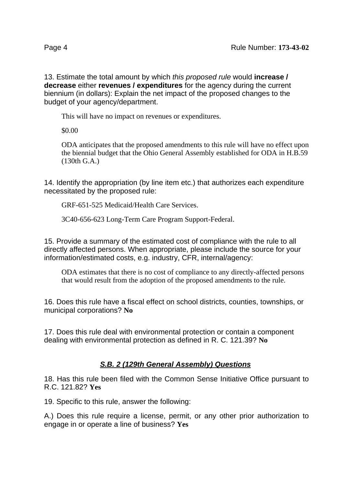13. Estimate the total amount by which this proposed rule would **increase / decrease** either **revenues / expenditures** for the agency during the current biennium (in dollars): Explain the net impact of the proposed changes to the budget of your agency/department.

This will have no impact on revenues or expenditures.

\$0.00

ODA anticipates that the proposed amendments to this rule will have no effect upon the biennial budget that the Ohio General Assembly established for ODA in H.B.59 (130th G.A.)

14. Identify the appropriation (by line item etc.) that authorizes each expenditure necessitated by the proposed rule:

GRF-651-525 Medicaid/Health Care Services.

3C40-656-623 Long-Term Care Program Support-Federal.

15. Provide a summary of the estimated cost of compliance with the rule to all directly affected persons. When appropriate, please include the source for your information/estimated costs, e.g. industry, CFR, internal/agency:

ODA estimates that there is no cost of compliance to any directly-affected persons that would result from the adoption of the proposed amendments to the rule.

16. Does this rule have a fiscal effect on school districts, counties, townships, or municipal corporations? **No**

17. Does this rule deal with environmental protection or contain a component dealing with environmental protection as defined in R. C. 121.39? **No**

### **S.B. 2 (129th General Assembly) Questions**

18. Has this rule been filed with the Common Sense Initiative Office pursuant to R.C. 121.82? **Yes**

19. Specific to this rule, answer the following:

A.) Does this rule require a license, permit, or any other prior authorization to engage in or operate a line of business? **Yes**